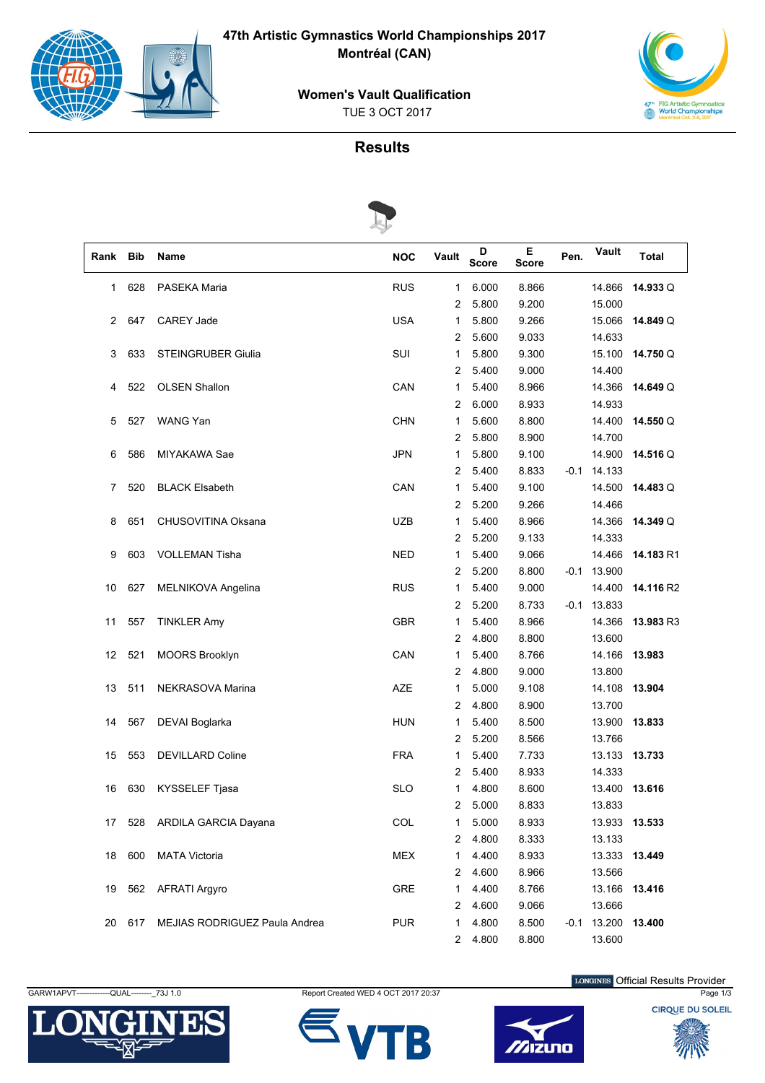

**47th Artistic Gymnastics World Championships 2017 Montréal (CAN)**

**Women's Vault Qualification**

TUE 3 OCT 2017



## **Results**



| Rank | <b>Bib</b> | Name                          | <b>NOC</b> | Vault          | D<br><b>Score</b> | Е<br><b>Score</b> | Pen. | Vault         | Total     |
|------|------------|-------------------------------|------------|----------------|-------------------|-------------------|------|---------------|-----------|
| 1    | 628        | PASEKA Maria                  | <b>RUS</b> | 1              | 6.000             | 8.866             |      | 14.866        | 14.933Q   |
|      |            |                               |            | $\overline{c}$ | 5.800             | 9.200             |      | 15.000        |           |
| 2    | 647        | CAREY Jade                    | <b>USA</b> | 1              | 5.800             | 9.266             |      | 15.066        | 14.849 Q  |
|      |            |                               |            | 2              | 5.600             | 9.033             |      | 14.633        |           |
| 3    | 633        | <b>STEINGRUBER Giulia</b>     | SUI        | 1              | 5.800             | 9.300             |      | 15.100        | 14.750Q   |
|      |            |                               |            | 2              | 5.400             | 9.000             |      | 14.400        |           |
| 4    | 522        | <b>OLSEN Shallon</b>          | CAN        | 1              | 5.400             | 8.966             |      | 14.366        | 14.649 Q  |
|      |            |                               |            | 2              | 6.000             | 8.933             |      | 14.933        |           |
| 5    | 527        | WANG Yan                      | <b>CHN</b> | 1              | 5.600             | 8.800             |      | 14.400        | 14.550Q   |
|      |            |                               |            | $\overline{c}$ | 5.800             | 8.900             |      | 14.700        |           |
| 6    | 586        | MIYAKAWA Sae                  | <b>JPN</b> | 1              | 5.800             | 9.100             |      | 14.900        | 14.516 Q  |
|      |            |                               |            | $\overline{c}$ | 5.400             | 8.833             |      | $-0.1$ 14.133 |           |
| 7    | 520        | <b>BLACK Elsabeth</b>         | CAN        | 1              | 5.400             | 9.100             |      | 14.500        | 14.483 Q  |
|      |            |                               |            | 2              | 5.200             | 9.266             |      | 14.466        |           |
| 8    | 651        | CHUSOVITINA Oksana            | <b>UZB</b> | 1              | 5.400             | 8.966             |      | 14.366        | 14.349 Q  |
|      |            |                               |            | 2              | 5.200             | 9.133             |      | 14.333        |           |
| 9    | 603        | <b>VOLLEMAN Tisha</b>         | <b>NED</b> | 1              | 5.400             | 9.066             |      | 14.466        | 14.183 R1 |
|      |            |                               |            | 2              | 5.200             | 8.800             |      | $-0.1$ 13.900 |           |
| 10   | 627        | MELNIKOVA Angelina            | <b>RUS</b> | $\mathbf{1}$   | 5.400             | 9.000             |      | 14.400        | 14.116 R2 |
|      |            |                               |            | $\overline{c}$ | 5.200             | 8.733             |      | $-0.1$ 13.833 |           |
| 11   | 557        | <b>TINKLER Amy</b>            | <b>GBR</b> | 1              | 5.400             | 8.966             |      | 14.366        | 13.983 R3 |
|      |            |                               |            | $\overline{c}$ | 4.800             | 8.800             |      | 13.600        |           |
| 12   | 521        | MOORS Brooklyn                | CAN        | 1              | 5.400             | 8.766             |      | 14.166        | 13.983    |
|      |            |                               |            | $\overline{c}$ | 4.800             | 9.000             |      | 13.800        |           |
| 13   | 511        | NEKRASOVA Marina              | AZE        | 1              | 5.000             | 9.108             |      | 14.108        | 13.904    |
|      |            |                               |            | $\overline{c}$ | 4.800             | 8.900             |      | 13.700        |           |
| 14   | 567        | DEVAI Boglarka                | <b>HUN</b> | 1              | 5.400             | 8.500             |      | 13.900        | 13.833    |
|      |            |                               |            | 2              | 5.200             | 8.566             |      | 13.766        |           |
| 15   | 553        | <b>DEVILLARD Coline</b>       | <b>FRA</b> | 1              | 5.400             | 7.733             |      | 13.133 13.733 |           |
|      |            |                               |            | 2              | 5.400             | 8.933             |      | 14.333        |           |
| 16   | 630        | KYSSELEF Tjasa                | <b>SLO</b> | 1              | 4.800             | 8.600             |      | 13.400        | 13.616    |
|      |            |                               |            | $\overline{2}$ | 5.000             | 8.833             |      | 13.833        |           |
| 17   | 528        | ARDILA GARCIA Dayana          | COL        | 1              | 5.000             | 8.933             |      | 13.933        | 13.533    |
|      |            |                               |            | 2              | 4.800             | 8.333             |      | 13.133        |           |
| 18   | 600        | <b>MATA Victoria</b>          | <b>MEX</b> | 1              | 4.400             | 8.933             |      | 13.333        | 13.449    |
|      |            |                               |            | 2              | 4.600             | 8.966             |      | 13.566        |           |
| 19   | 562        | <b>AFRATI Argyro</b>          | <b>GRE</b> | 1              | 4.400             | 8.766             |      | 13.166        | 13.416    |
|      |            |                               |            | 2              | 4.600             | 9.066             |      | 13.666        |           |
| 20   | 617        | MEJIAS RODRIGUEZ Paula Andrea | <b>PUR</b> | 1              | 4.800             | 8.500             | -0.1 | 13.200        | 13.400    |
|      |            |                               |            | $\overline{2}$ | 4.800             | 8.800             |      | 13.600        |           |









LONGINES Official Results Provider

**CIROUE DU SOLEIL**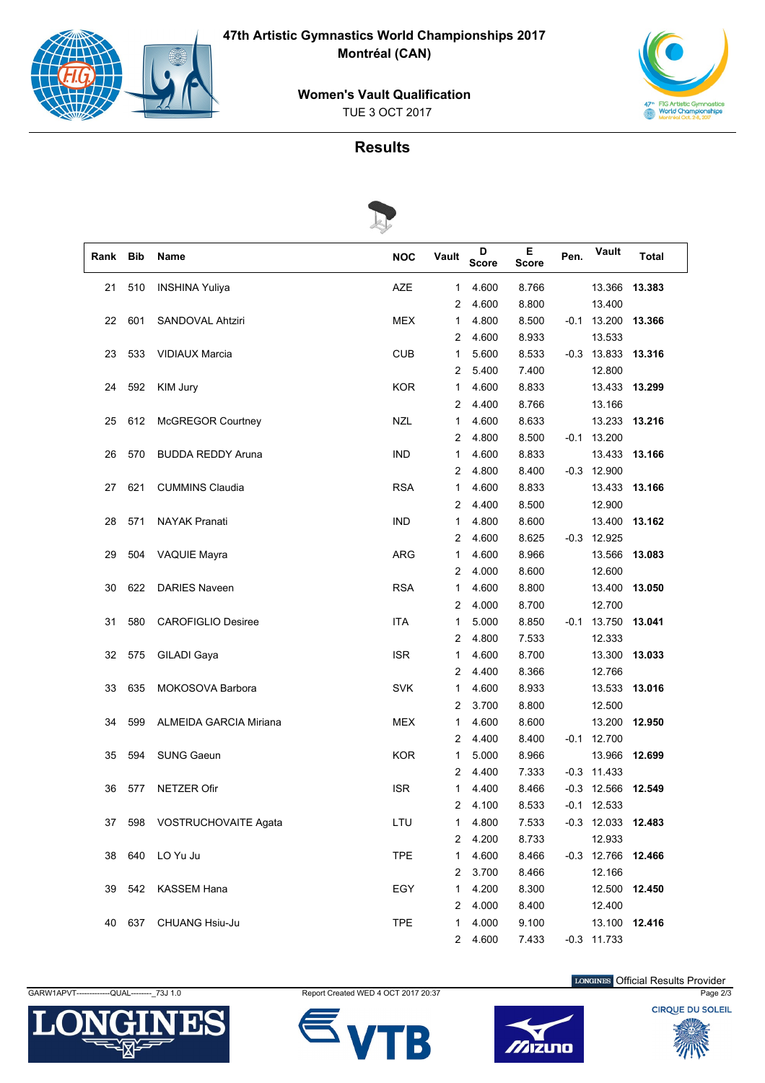

**47th Artistic Gymnastics World Championships 2017 Montréal (CAN)**



TUE 3 OCT 2017



## **Results**



| Rank | <b>Bib</b> | Name                          | <b>NOC</b> | Vault                 | D<br><b>Score</b> | Е<br><b>Score</b> | Pen. | Vault                | Total  |  |  |
|------|------------|-------------------------------|------------|-----------------------|-------------------|-------------------|------|----------------------|--------|--|--|
| 21   | 510        | <b>INSHINA Yuliya</b>         | AZE        | 1                     | 4.600             | 8.766             |      | 13.366               | 13.383 |  |  |
|      |            |                               |            | 2                     | 4.600             | 8.800             |      | 13.400               |        |  |  |
| 22   | 601        | SANDOVAL Ahtziri              | <b>MEX</b> | 1                     | 4.800             | 8.500             | -0.1 | 13.200               | 13.366 |  |  |
|      |            |                               |            | 2                     | 4.600             | 8.933             |      | 13.533               |        |  |  |
| 23   | 533        | <b>VIDIAUX Marcia</b>         | <b>CUB</b> | 1                     | 5.600             | 8.533             |      | $-0.3$ 13.833 13.316 |        |  |  |
|      |            |                               |            | 2                     | 5.400             | 7.400             |      | 12.800               |        |  |  |
| 24   | 592        | KIM Jury                      | <b>KOR</b> | 1                     | 4.600             | 8.833             |      | 13.433               | 13.299 |  |  |
|      |            |                               |            | 2                     | 4.400             | 8.766             |      | 13.166               |        |  |  |
| 25   | 612        | <b>McGREGOR Courtney</b>      | <b>NZL</b> | 1                     | 4.600             | 8.633             |      | 13.233               | 13.216 |  |  |
|      |            |                               |            | $\overline{c}$        | 4.800             | 8.500             |      | $-0.1$ 13.200        |        |  |  |
| 26   | 570        | <b>BUDDA REDDY Aruna</b>      | <b>IND</b> | 1                     | 4.600             | 8.833             |      | 13.433 13.166        |        |  |  |
|      |            |                               |            | 2                     | 4.800             | 8.400             |      | $-0.3$ 12.900        |        |  |  |
| 27   | 621        | <b>CUMMINS Claudia</b>        | <b>RSA</b> | 1                     | 4.600             | 8.833             |      | 13.433               | 13.166 |  |  |
|      |            |                               |            | 2                     | 4.400             | 8.500             |      | 12.900               |        |  |  |
| 28   | 571        | <b>NAYAK Pranati</b>          | <b>IND</b> | 1                     | 4.800             | 8.600             |      | 13.400               | 13.162 |  |  |
|      |            |                               |            | 2                     | 4.600             | 8.625             |      | $-0.3$ 12.925        |        |  |  |
| 29   | 504        | <b>VAQUIE Mayra</b>           | <b>ARG</b> | 1                     | 4.600             | 8.966             |      | 13.566               | 13.083 |  |  |
|      |            |                               |            | 2                     | 4.000             | 8.600             |      | 12.600               |        |  |  |
| 30   | 622        | <b>DARIES Naveen</b>          | <b>RSA</b> | 1                     | 4.600             | 8.800             |      | 13.400               | 13.050 |  |  |
|      |            |                               |            | 2                     | 4.000             | 8.700             |      | 12.700               |        |  |  |
| 31   | 580        | <b>CAROFIGLIO Desiree</b>     | <b>ITA</b> | 1                     | 5.000             | 8.850             | -0.1 | 13.750               | 13.041 |  |  |
|      |            |                               |            | $\overline{c}$        | 4.800             | 7.533             |      | 12.333               |        |  |  |
| 32   | 575        | GILADI Gaya                   | <b>ISR</b> | 1                     | 4.600             | 8.700             |      | 13.300               | 13.033 |  |  |
|      |            |                               |            | 2                     | 4.400             | 8.366             |      | 12.766               |        |  |  |
| 33   | 635        | MOKOSOVA Barbora              | <b>SVK</b> | 1                     | 4.600             | 8.933             |      | 13.533               | 13.016 |  |  |
|      |            |                               |            | 2                     | 3.700             | 8.800             |      | 12.500               |        |  |  |
| 34   | 599        | <b>ALMEIDA GARCIA Miriana</b> | <b>MEX</b> | 1                     | 4.600             | 8.600             |      | 13.200               | 12.950 |  |  |
|      |            |                               |            | 2                     | 4.400             | 8.400             |      | $-0.1$ 12.700        |        |  |  |
| 35   | 594        | <b>SUNG Gaeun</b>             | <b>KOR</b> | 1                     | 5.000             | 8.966             |      | 13.966               | 12.699 |  |  |
|      |            |                               |            | 2                     | 4.400             | 7.333             |      | $-0.3$ 11.433        |        |  |  |
| 36   | 577        | <b>NETZER Ofir</b>            | <b>ISR</b> | 1                     | 4.400             | 8.466             |      | $-0.3$ 12.566        | 12.549 |  |  |
|      |            |                               |            | $\mathbf{2}^{\prime}$ | 4.100             | 8.533             |      | $-0.1$ 12.533        |        |  |  |
| 37   | 598        | VOSTRUCHOVAITE Agata          | LTU        | 1                     | 4.800             | 7.533             |      | $-0.3$ 12.033 12.483 |        |  |  |
|      |            |                               |            | 2                     | 4.200             | 8.733             |      | 12.933               |        |  |  |
| 38   | 640        | LO Yu Ju                      | <b>TPE</b> | 1                     | 4.600             | 8.466             |      | $-0.3$ 12.766        | 12.466 |  |  |
|      |            |                               |            | 2                     | 3.700             | 8.466             |      | 12.166               |        |  |  |
| 39   | 542        | <b>KASSEM Hana</b>            | EGY        | 1                     | 4.200             | 8.300             |      | 12.500               | 12.450 |  |  |
|      |            |                               |            | 2                     | 4.000             | 8.400             |      | 12.400               |        |  |  |
| 40   | 637        | CHUANG Hsiu-Ju                | <b>TPE</b> | 1                     | 4.000             | 9.100             |      | 13.100 12.416        |        |  |  |
|      |            |                               |            | $\mathbf{2}$          | 4.600             | 7.433             |      | $-0.3$ 11.733        |        |  |  |











LONGINES Official Results Provider